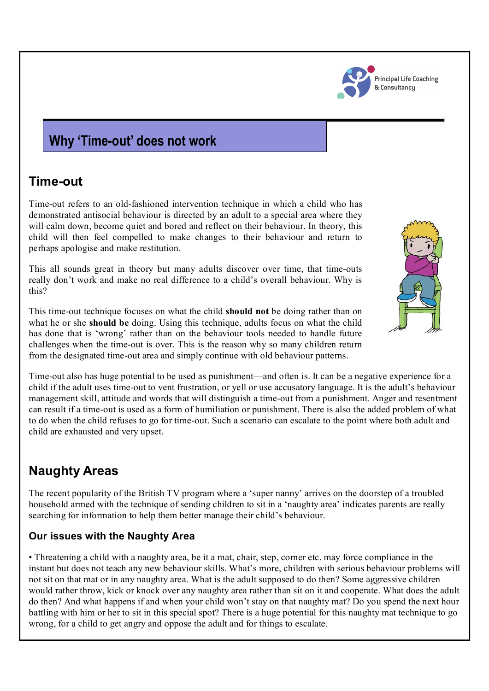

#### **Principal Life Coaching** & Consultancu

## **Why 'Time-out' does not work**

### **Time-out**

Time-out refers to an old-fashioned intervention technique in which a child who has demonstrated antisocial behaviour is directed by an adult to a special area where they will calm down, become quiet and bored and reflect on their behaviour. In theory, this child will then feel compelled to make changes to their behaviour and return to perhaps apologise and make restitution.

This all sounds great in theory but many adults discover over time, that time-outs really don't work and make no real difference to a child's overall behaviour. Why is this?

This time-out technique focuses on what the child **should not** be doing rather than on what he or she **should be** doing. Using this technique, adults focus on what the child has done that is 'wrong' rather than on the behaviour tools needed to handle future challenges when the time-out is over. This is the reason why so many children return from the designated time-out area and simply continue with old behaviour patterns.

Time-out also has huge potential to be used as punishment—and often is. It can be a negative experience for a child if the adult uses time-out to vent frustration, or yell or use accusatory language. It is the adult's behaviour management skill, attitude and words that will distinguish a time-out from a punishment. Anger and resentment can result if a time-out is used as a form of humiliation or punishment. There is also the added problem of what to do when the child refuses to go for time-out. Such a scenario can escalate to the point where both adult and child are exhausted and very upset.

# **Naughty Areas**

The recent popularity of the British TV program where a 'super nanny' arrives on the doorstep of a troubled household armed with the technique of sending children to sit in a 'naughty area' indicates parents are really searching for information to help them better manage their child's behaviour.

### **Our issues with the Naughty Area**

• Threatening a child with a naughty area, be it a mat, chair, step, corner etc. may force compliance in the instant but does not teach any new behaviour skills. What's more, children with serious behaviour problems will not sit on that mat or in any naughty area. What is the adult supposed to do then? Some aggressive children would rather throw, kick or knock over any naughty area rather than sit on it and cooperate. What does the adult do then? And what happens if and when your child won't stay on that naughty mat? Do you spend the next hour battling with him or her to sit in this special spot? There is a huge potential for this naughty mat technique to go wrong, for a child to get angry and oppose the adult and for things to escalate.